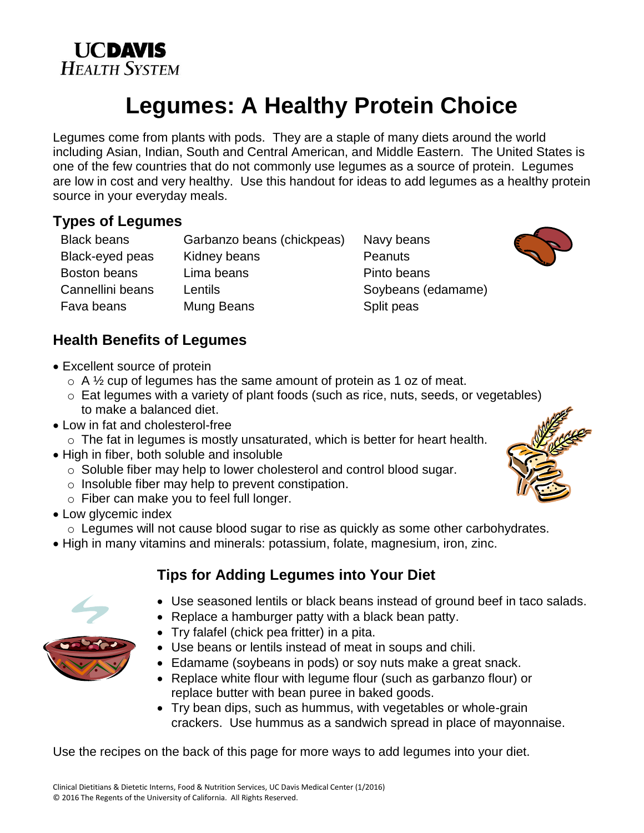



# **Legumes: A Healthy Protein Choice**

Legumes come from plants with pods. They are a staple of many diets around the world including Asian, Indian, South and Central American, and Middle Eastern. The United States is one of the few countries that do not commonly use legumes as a source of protein. Legumes are low in cost and very healthy. Use this handout for ideas to add legumes as a healthy protein source in your everyday meals.

# **Types of Legumes**

Black beans Garbanzo beans (chickpeas) Navy beans Black-eyed peas Kidney beans Peanuts Boston beans Lima beans **Pinto beans** Cannellini beans Lentils Cannellini beans Lentils Soybeans (edamame) Fava beans Mung Beans Split peas

# **Health Benefits of Legumes**

- Excellent source of protein
	- $\circ$  A  $\frac{1}{2}$  cup of legumes has the same amount of protein as 1 oz of meat.
	- o Eat legumes with a variety of plant foods (such as rice, nuts, seeds, or vegetables) to make a balanced diet.
- Low in fat and cholesterol-free
	- $\circ$  The fat in legumes is mostly unsaturated, which is better for heart health.
- High in fiber, both soluble and insoluble
	- o Soluble fiber may help to lower cholesterol and control blood sugar.
	- o Insoluble fiber may help to prevent constipation.
	- o Fiber can make you to feel full longer.
- Low glycemic index
	- o Legumes will not cause blood sugar to rise as quickly as some other carbohydrates.
- High in many vitamins and minerals: potassium, folate, magnesium, iron, zinc.

# **Tips for Adding Legumes into Your Diet**

- 
- Use seasoned lentils or black beans instead of ground beef in taco salads.
- Replace a hamburger patty with a black bean patty.
- Try falafel (chick pea fritter) in a pita.
- Use beans or lentils instead of meat in soups and chili.
- Edamame (soybeans in pods) or soy nuts make a great snack.
- Replace white flour with legume flour (such as garbanzo flour) or replace butter with bean puree in baked goods.
- Try bean dips, such as hummus, with vegetables or whole-grain crackers. Use hummus as a sandwich spread in place of mayonnaise.

Use the recipes on the back of this page for more ways to add legumes into your diet.